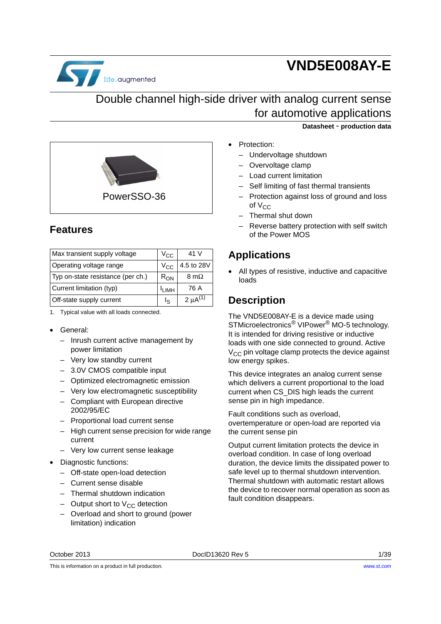

# **VND5E008AY-E**

# Double channel high-side driver with analog current sense for automotive applications



# **Features**

| Max transient supply voltage      | $V_{\rm CC}$     | 41 V            |
|-----------------------------------|------------------|-----------------|
| Operating voltage range           | $V_{CC}$         | 4.5 to 28V      |
| Typ on-state resistance (per ch.) | $R_{ON}$         | 8 m $\Omega$    |
| Current limitation (typ)          | I <sub>IMH</sub> | 76 A            |
| Off-state supply current          | I۹               | 2 $\mu$ A $(1)$ |

1. Typical value with all loads connected.

#### • General:

- Inrush current active management by power limitation
- Very low standby current
- 3.0V CMOS compatible input
- Optimized electromagnetic emission
- Very low electromagnetic susceptibility
- Compliant with European directive 2002/95/EC
- Proportional load current sense
- High current sense precision for wide range current
- Very low current sense leakage
- Diagnostic functions:
	- Off-state open-load detection
	- Current sense disable
	- Thermal shutdown indication
	- Output short to  $V_{CC}$  detection
	- Overload and short to ground (power limitation) indication

**Datasheet** - **production data**

- Protection:
- Undervoltage shutdown
- Overvoltage clamp
- Load current limitation
- Self limiting of fast thermal transients
- Protection against loss of ground and loss of  $V_{CC}$
- Thermal shut down
- Reverse battery protection with self switch of the Power MOS

### **Applications**

All types of resistive, inductive and capacitive loads

# **Description**

The VND5E008AY-E is a device made using STMicroelectronics® VIPower® MO-5 technology. It is intended for driving resistive or inductive loads with one side connected to ground. Active  $V_{CC}$  pin voltage clamp protects the device against low energy spikes.

This device integrates an analog current sense which delivers a current proportional to the load current when CS\_DIS high leads the current sense pin in high impedance.

Fault conditions such as overload, overtemperature or open-load are reported via the current sense pin

Output current limitation protects the device in overload condition. In case of long overload duration, the device limits the dissipated power to safe level up to thermal shutdown intervention. Thermal shutdown with automatic restart allows the device to recover normal operation as soon as fault condition disappears.

October 2013 DocID13620 Rev 5 1/[39](#page-38-0)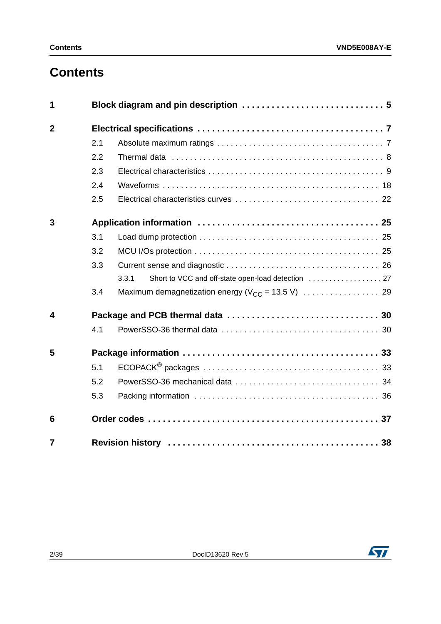# **Contents**

| 1                       |     |                                                             |
|-------------------------|-----|-------------------------------------------------------------|
| $\overline{2}$          |     |                                                             |
|                         | 2.1 |                                                             |
|                         | 2.2 |                                                             |
|                         | 2.3 |                                                             |
|                         | 2.4 |                                                             |
|                         | 2.5 |                                                             |
| 3                       |     |                                                             |
|                         | 3.1 |                                                             |
|                         | 3.2 |                                                             |
|                         | 3.3 |                                                             |
|                         |     | Short to VCC and off-state open-load detection  27<br>3.3.1 |
|                         | 3.4 |                                                             |
| $\overline{\mathbf{4}}$ |     |                                                             |
|                         | 4.1 |                                                             |
| 5                       |     |                                                             |
|                         | 5.1 |                                                             |
|                         | 5.2 |                                                             |
|                         | 5.3 |                                                             |
| 6                       |     |                                                             |
| $\overline{7}$          |     |                                                             |

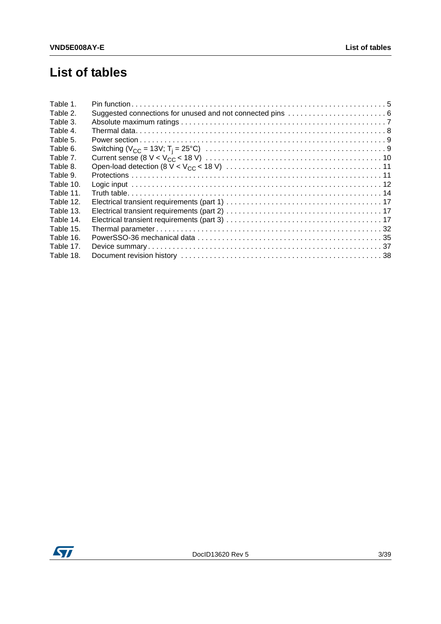# **List of tables**

| Table 1.  |  |
|-----------|--|
| Table 2.  |  |
| Table 3.  |  |
| Table 4.  |  |
| Table 5.  |  |
| Table 6.  |  |
| Table 7.  |  |
| Table 8.  |  |
| Table 9.  |  |
| Table 10. |  |
| Table 11. |  |
| Table 12. |  |
| Table 13. |  |
| Table 14. |  |
| Table 15. |  |
| Table 16. |  |
| Table 17. |  |
| Table 18. |  |

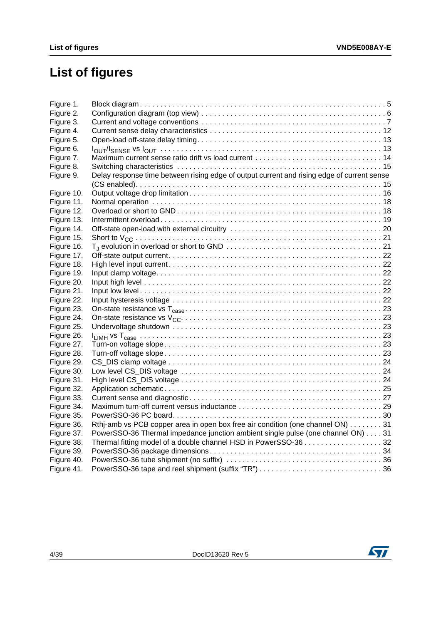# **List of figures**

| Figure 1.  |                                                                                                                                   |  |
|------------|-----------------------------------------------------------------------------------------------------------------------------------|--|
| Figure 2.  |                                                                                                                                   |  |
| Figure 3.  |                                                                                                                                   |  |
| Figure 4.  |                                                                                                                                   |  |
| Figure 5.  |                                                                                                                                   |  |
| Figure 6.  |                                                                                                                                   |  |
| Figure 7.  |                                                                                                                                   |  |
| Figure 8.  |                                                                                                                                   |  |
| Figure 9.  | Delay response time between rising edge of output current and rising edge of current sense                                        |  |
|            |                                                                                                                                   |  |
| Figure 10. |                                                                                                                                   |  |
| Figure 11. |                                                                                                                                   |  |
| Figure 12. |                                                                                                                                   |  |
| Figure 13. |                                                                                                                                   |  |
| Figure 14. |                                                                                                                                   |  |
| Figure 15. |                                                                                                                                   |  |
| Figure 16. | $T_i$ evolution in overload or short to GND $\ldots \ldots \ldots \ldots \ldots \ldots \ldots \ldots \ldots \ldots \ldots \ldots$ |  |
| Figure 17. |                                                                                                                                   |  |
| Figure 18. |                                                                                                                                   |  |
| Figure 19. |                                                                                                                                   |  |
| Figure 20. |                                                                                                                                   |  |
| Figure 21. |                                                                                                                                   |  |
| Figure 22. |                                                                                                                                   |  |
| Figure 23. |                                                                                                                                   |  |
| Figure 24. |                                                                                                                                   |  |
| Figure 25. |                                                                                                                                   |  |
| Figure 26. |                                                                                                                                   |  |
| Figure 27. |                                                                                                                                   |  |
| Figure 28. |                                                                                                                                   |  |
| Figure 29. |                                                                                                                                   |  |
| Figure 30. |                                                                                                                                   |  |
| Figure 31. |                                                                                                                                   |  |
| Figure 32. |                                                                                                                                   |  |
| Figure 33. |                                                                                                                                   |  |
| Figure 34. |                                                                                                                                   |  |
| Figure 35. |                                                                                                                                   |  |
| Figure 36. | Rthi-amb vs PCB copper area in open box free air condition (one channel ON) 31                                                    |  |
| Figure 37. | PowerSSO-36 Thermal impedance junction ambient single pulse (one channel ON) 31                                                   |  |
| Figure 38. | Thermal fitting model of a double channel HSD in PowerSSO-36 32                                                                   |  |
| Figure 39. |                                                                                                                                   |  |
| Figure 40. |                                                                                                                                   |  |
| Figure 41. |                                                                                                                                   |  |

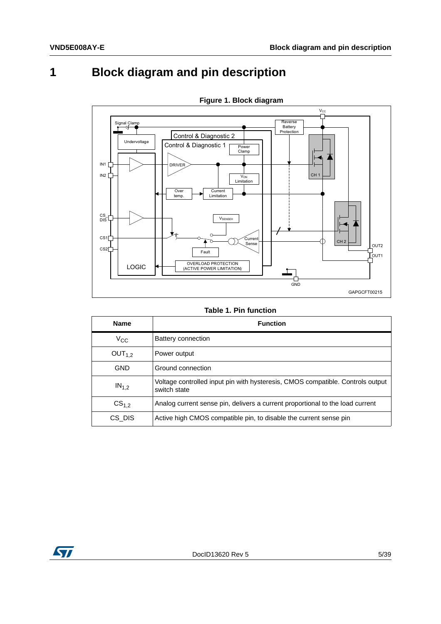<span id="page-4-0"></span> $\overline{\mathbf{1}}$ 

# **Block diagram and pin description**

<span id="page-4-2"></span>

Figure 1. Block diagram

#### **Table 1. Pin function**

<span id="page-4-1"></span>

| <b>Name</b>        | <b>Function</b>                                                                                |
|--------------------|------------------------------------------------------------------------------------------------|
| $V_{CC}$           | Battery connection                                                                             |
| OUT <sub>1.2</sub> | Power output                                                                                   |
| GND                | Ground connection                                                                              |
| $IN_{1,2}$         | Voltage controlled input pin with hysteresis, CMOS compatible. Controls output<br>switch state |
| CS <sub>1.2</sub>  | Analog current sense pin, delivers a current proportional to the load current                  |
| CS DIS             | Active high CMOS compatible pin, to disable the current sense pin                              |

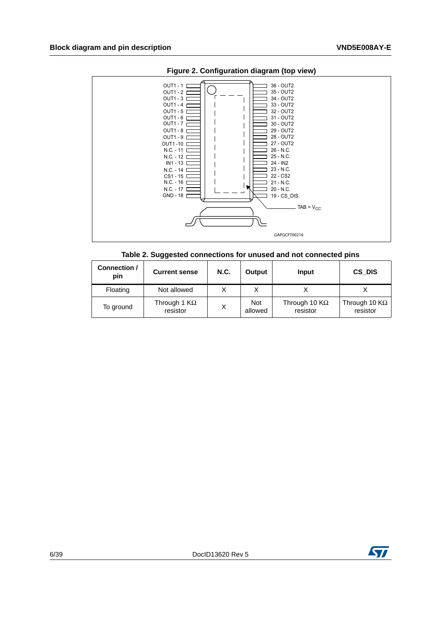<span id="page-5-1"></span>



|  |  | Table 2. Suggested connections for unused and not connected pins |  |  |  |
|--|--|------------------------------------------------------------------|--|--|--|
|--|--|------------------------------------------------------------------|--|--|--|

<span id="page-5-0"></span>

| Connection /<br>pin | <b>Current sense</b>            | N.C. | Output                | Input                            | CS DIS                                    |
|---------------------|---------------------------------|------|-----------------------|----------------------------------|-------------------------------------------|
| Floating            | Not allowed                     |      |                       |                                  |                                           |
| To ground           | Through 1 $K\Omega$<br>resistor | Χ    | <b>Not</b><br>allowed | Through 10 $K\Omega$<br>resistor | Through 10 $\mathsf{K}\Omega$<br>resistor |

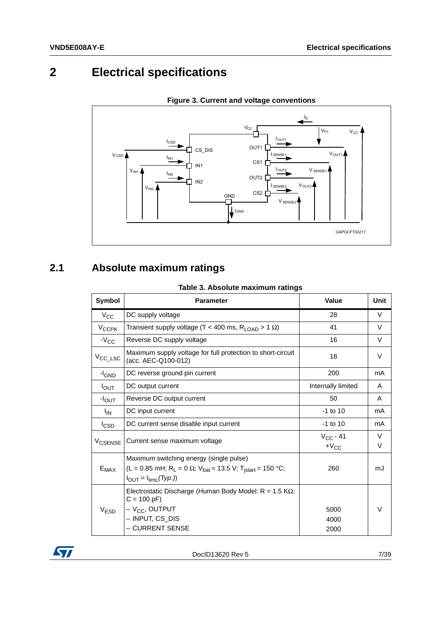# <span id="page-6-0"></span>**2 Electrical specifications**

<span id="page-6-3"></span>



# <span id="page-6-1"></span>**2.1 Absolute maximum ratings**

|  |  | Table 3. Absolute maximum ratings |  |
|--|--|-----------------------------------|--|
|--|--|-----------------------------------|--|

<span id="page-6-2"></span>

| Symbol                                                                                                                                                                                                    | <b>Parameter</b>                                                                                                                        | <b>Value</b>               | Unit        |
|-----------------------------------------------------------------------------------------------------------------------------------------------------------------------------------------------------------|-----------------------------------------------------------------------------------------------------------------------------------------|----------------------------|-------------|
| $V_{\rm CC}$                                                                                                                                                                                              | DC supply voltage                                                                                                                       | 28                         | V           |
| $V_{CCPK}$                                                                                                                                                                                                | Transient supply voltage (T < 400 ms, $R_{\text{LOAD}}$ > 1 $\Omega$ )                                                                  | 41                         | $\vee$      |
| $-V_{CC}$                                                                                                                                                                                                 | Reverse DC supply voltage                                                                                                               | 16                         | $\vee$      |
| $V_{\text{CC}\_\text{LSC}}$                                                                                                                                                                               | Maximum supply voltage for full protection to short-circuit<br>(acc. AEC-Q100-012)                                                      | 18                         | V           |
| $-I_{GND}$                                                                                                                                                                                                | DC reverse ground pin current                                                                                                           | 200                        | mA          |
| $I_{OUT}$                                                                                                                                                                                                 | DC output current                                                                                                                       | Internally limited         | A           |
| $-I_{\rm OUT}$                                                                                                                                                                                            | Reverse DC output current                                                                                                               | 50                         | A           |
| I <sub>IN</sub>                                                                                                                                                                                           | DC input current                                                                                                                        | $-1$ to 10                 | mA          |
| <b>I</b> CSD                                                                                                                                                                                              | DC current sense disable input current                                                                                                  | $-1$ to 10                 | mA          |
| <b>V<sub>CSENSE</sub></b>                                                                                                                                                                                 | Current sense maximum voltage                                                                                                           | $V_{CC} - 41$<br>$+V_{CC}$ | $\vee$<br>V |
| Maximum switching energy (single pulse)<br>(L = 0.85 mH; R <sub>L</sub> = 0 $\Omega$ ; V <sub>bat</sub> = 13.5 V; T <sub>istart</sub> = 150 °C;<br>$E_{MAX}$<br>$I_{\text{OUT}} = I_{\text{limL}}(Type.)$ |                                                                                                                                         | 260                        | mJ          |
| V <sub>ESD</sub>                                                                                                                                                                                          | Electrostatic Discharge (Human Body Model: $R = 1.5 K\Omega$ ;<br>$C = 100 pF$<br>$-VCC$ , OUTPUT<br>- INPUT, CS_DIS<br>- CURRENT SENSE | 5000<br>4000<br>2000       | V           |

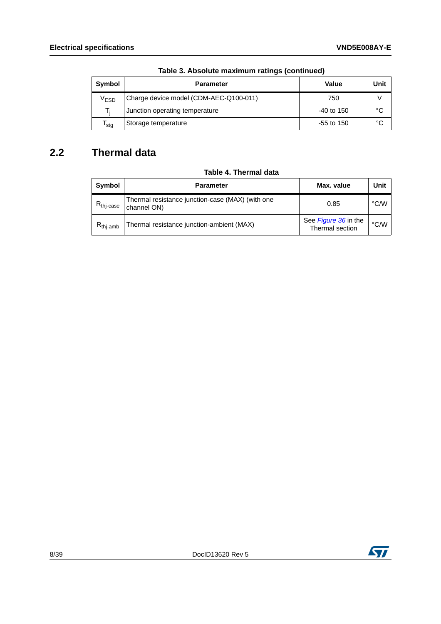| Symbol           | <b>Parameter</b>                       | Value        | Unit |
|------------------|----------------------------------------|--------------|------|
| V <sub>ESD</sub> | Charge device model (CDM-AEC-Q100-011) | 750          |      |
| т.               | Junction operating temperature         | $-40$ to 150 | °C   |
| <sup>I</sup> stg | Storage temperature                    | $-55$ to 150 | °C   |

### **Table 3. Absolute maximum ratings (continued)**

# <span id="page-7-0"></span>**2.2 Thermal data**

#### **Table 4. Thermal data**

<span id="page-7-1"></span>

| Symbol                | <b>Parameter</b>                                                | Max. value                              | Unit |
|-----------------------|-----------------------------------------------------------------|-----------------------------------------|------|
| $R_{\text{thi-case}}$ | Thermal resistance junction-case (MAX) (with one<br>channel ON) | 0.85                                    | °C/W |
| $R_{\text{thi-amb}}$  | Thermal resistance junction-ambient (MAX)                       | See Figure 36 in the<br>Thermal section | °C/W |

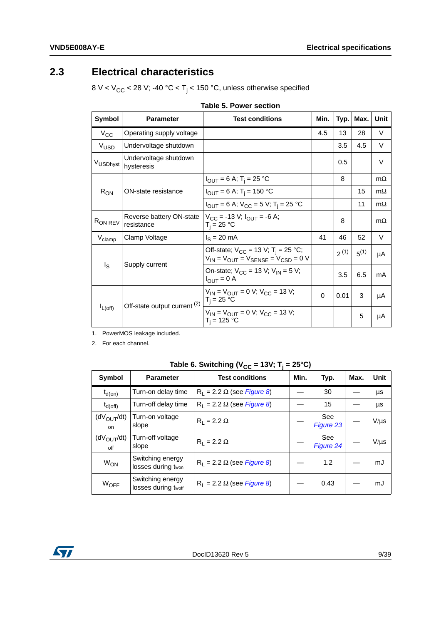# <span id="page-8-0"></span>**2.3 Electrical characteristics**

8 V < V $_{\rm CC}$  < 28 V; -40 °C < T $_{\rm j}$  < 150 °C, unless otherwise specified

<span id="page-8-1"></span>

| Symbol              | <b>Parameter</b>                        | <b>Test conditions</b>                                                                                 | Min. | Typ. | Max.      | Unit      |
|---------------------|-----------------------------------------|--------------------------------------------------------------------------------------------------------|------|------|-----------|-----------|
| $V_{CC}$            | Operating supply voltage                |                                                                                                        | 4.5  | 13   | 28        | V         |
| V <sub>USD</sub>    | Undervoltage shutdown                   |                                                                                                        |      | 3.5  | 4.5       | V         |
| VUSDhyst            | Undervoltage shutdown<br>hysteresis     |                                                                                                        |      | 0.5  |           | V         |
|                     |                                         | $I_{\text{OUT}} = 6 \text{ A}; T_{\text{i}} = 25 \text{ °C}$                                           |      | 8    |           | $m\Omega$ |
| $R_{ON}$            | ON-state resistance                     | $I_{OUT} = 6$ A; T <sub>i</sub> = 150 °C                                                               |      |      | 15        | $m\Omega$ |
|                     |                                         | $I_{\text{OUT}} = 6$ A; $V_{\text{CC}} = 5$ V; T <sub>i</sub> = 25 °C                                  |      |      | 11        | $m\Omega$ |
| R <sub>ON REV</sub> | Reverse battery ON-state<br>resistance  | $V_{CC}$ = -13 V; $I_{OUIT}$ = -6 A;<br>$T_i = 25 °C$                                                  |      | 8    |           | $m\Omega$ |
| $V_{\text{clamp}}$  | Clamp Voltage                           | $I_S = 20$ mA                                                                                          | 41   | 46   | 52        | V         |
|                     | Supply current                          | Off-state; $V_{CC}$ = 13 V; T <sub>i</sub> = 25 °C;<br>$V_{IN} = V_{OUIT} = V_{SENSE} = V_{CSD} = 0$ V |      | 2(1) | $5^{(1)}$ | μA        |
| $I_{\rm S}$         |                                         | On-state; $V_{CC}$ = 13 V; $V_{IN}$ = 5 V;<br>$I_{OUT} = 0$ A                                          |      | 3.5  | 6.5       | mA        |
| $I_{L(off)}$        | Off-state output current <sup>(2)</sup> | $V_{IN}$ = $V_{OUIT}$ = 0 V; $V_{CC}$ = 13 V;<br>$T_i = 25 °C$                                         | 0    | 0.01 | 3         | μA        |
|                     |                                         | $V_{IN} = V_{OUIT} = 0$ V; $V_{CC} = 13$ V;<br>$T_i = 125 °C$                                          |      |      | 5         | μA        |

| Table 5. Power section |  |  |  |  |
|------------------------|--|--|--|--|
|------------------------|--|--|--|--|

1. PowerMOS leakage included.

2. For each channel.

|  | Table 6. Switching (V <sub>CC</sub> = 13V; T <sub>j</sub> = 25°C) |  |  |
|--|-------------------------------------------------------------------|--|--|
|  |                                                                   |  |  |

<span id="page-8-2"></span>

| Symbol                        | <b>Parameter</b>                        | <b>Test conditions</b>                      | Min. | Typ.             | Max. | Unit      |
|-------------------------------|-----------------------------------------|---------------------------------------------|------|------------------|------|-----------|
| $t_{d(on)}$                   | Turn-on delay time                      | $R_1 = 2.2 \Omega$ (see <i>Figure 8</i> )   |      | 30               |      | μs        |
| $t_{d(off)}$                  | Turn-off delay time                     | $R_1$ = 2.2 $\Omega$ (see <i>Figure 8</i> ) |      | 15               |      | μs        |
| $(dV_{OUT}/dt)$<br>on         | Turn-on voltage<br>slope                | $R_1 = 2.2 \Omega$                          |      | See<br>Figure 23 |      | $V/\mu s$ |
| $(dV_{\text{OUT}}/dt)$<br>off | Turn-off voltage<br>slope               | $R_1 = 2.2 \Omega$                          |      | See<br>Figure 24 |      | $V/\mu s$ |
| W <sub>ON</sub>               | Switching energy<br>losses during twon  | $R_1 = 2.2 \Omega$ (see Figure 8)           |      | 1.2              |      | mJ        |
| WOFF                          | Switching energy<br>losses during twoff | $R_1$ = 2.2 $\Omega$ (see Figure 8)         |      | 0.43             |      | mJ        |

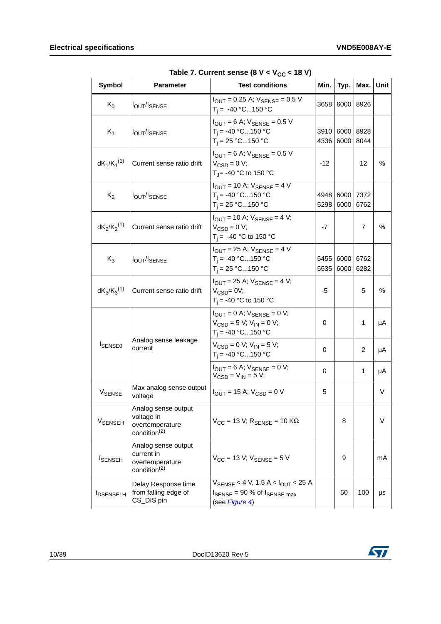<span id="page-9-0"></span>

| Symbol                    | <b>Parameter</b>                                                                 | - - - - uu<br><b>Test conditions</b>                                                                                               | Min.         | Typ.                              | Max.         | Unit |
|---------------------------|----------------------------------------------------------------------------------|------------------------------------------------------------------------------------------------------------------------------------|--------------|-----------------------------------|--------------|------|
| $K_0$                     | <b>IOUT/ISENSE</b>                                                               | $I_{\text{OUT}} = 0.25$ A; $V_{\text{SENSE}} = 0.5$ V<br>$T_i = -40 °C150 °C$                                                      | 3658         | 6000 8926                         |              |      |
| $K_1$                     | <b>IOUT/ISENSE</b>                                                               | $I_{\text{OUT}} = 6$ A; $V_{\text{SENSE}} = 0.5$ V<br>$T_i = -40 °C150 °C$<br>$T_i = 25 °C150 °C$                                  |              | 3910<br>6000 8928<br>4336<br>6000 | 8044         |      |
| $dK_1/K_1^{(1)}$          | Current sense ratio drift                                                        | $I_{\text{OUT}}$ = 6 A; $V_{\text{SENSE}}$ = 0.5 V<br>$V_{\text{CSD}} = 0$ V;<br>T <sub>J</sub> = -40 °C to 150 °C                 |              |                                   | 12           | $\%$ |
| $K_2$                     | <b>IOUT/ISENSE</b>                                                               | $I_{\text{OUT}}$ = 10 A; $V_{\text{SENSE}}$ = 4 V<br>$T_i = -40 °C150 °C$<br>$T_i = 25 °C150 °C$<br>5298                           |              | 4948 6000 7372<br>6000            | 6762         |      |
| $dK_2/K_2^{(1)}$          | Current sense ratio drift                                                        | $I_{OUIT}$ = 10 A; $V_{SENSE}$ = 4 V;<br>$V_{\text{CSD}} = 0$ V;<br>$T_i = -40$ °C to 150 °C                                       |              |                                   | 7            | $\%$ |
| $K_3$                     | <b>IOUT/ISENSE</b>                                                               | $I_{\text{OUT}}$ = 25 A; $V_{\text{SENSE}}$ = 4 V<br>$T_i = -40 °C150 °C$<br>$T_i = 25 °C150 °C$                                   | 5455<br>5535 | 6000<br>6000                      | 6762<br>6282 |      |
| $dK_3/K_3^{(1)}$          | Current sense ratio drift                                                        | $I_{\text{OUT}}$ = 25 A; $V_{\text{SENSE}}$ = 4 V;<br>$V_{CSD} = 0V$ ;<br>$T_i = -40$ °C to 150 °C                                 | -5           |                                   | 5            | $\%$ |
|                           |                                                                                  | $I_{\text{OUT}} = 0$ A; $V_{\text{SENSE}} = 0$ V;<br>$V_{\text{CSD}} = 5 V$ ; $V_{\text{IN}} = 0 V$ ;<br>$T_i = -40 °C150 °C$      | 0            |                                   | 1            | μA   |
| <b>ISENSE0</b>            | Analog sense leakage<br>current                                                  | $V_{\text{CSD}} = 0$ V; $V_{\text{IN}} = 5$ V;<br>$T_i = -40 °C150 °C$                                                             | 0            |                                   | 2            | μA   |
|                           |                                                                                  | $I_{\text{OUT}} = 6$ A; $V_{\text{SENSE}} = 0$ V;<br>$V_{\text{CSD}} = V_{\text{IN}} = 5 V;$                                       | 0            |                                   | 1            | μA   |
| V <sub>SENSE</sub>        | Max analog sense output<br>voltage                                               | $I_{OUIT}$ = 15 A; $V_{CSD}$ = 0 V                                                                                                 | 5            |                                   |              | V    |
| <b>V<sub>SENSEH</sub></b> | Analog sense output<br>voltage in<br>overtemperature<br>condition <sup>(2)</sup> | $V_{CC}$ = 13 V; $R_{SENSE}$ = 10 K $\Omega$                                                                                       |              | 8                                 |              | V    |
| <b>I</b> SENSEH           | Analog sense output<br>current in<br>overtemperature<br>condition <sup>(2)</sup> | $V_{CC}$ = 13 V; $V_{SENSE}$ = 5 V                                                                                                 |              | 9                                 |              | mA   |
| t <sub>DSENSE1H</sub>     | Delay Response time<br>from falling edge of<br>CS_DIS pin                        | $V_{\text{SFNSF}}$ < 4 V, 1.5 A < $I_{\text{OUT}}$ < 25 A<br>$I_{\text{SENSE}}$ = 90 % of $I_{\text{SENSE max}}$<br>(see Figure 4) |              | 50                                | 100          | μs   |

Table 7. Current sense  $(8 V < V_{CC} < 18 V)$ 

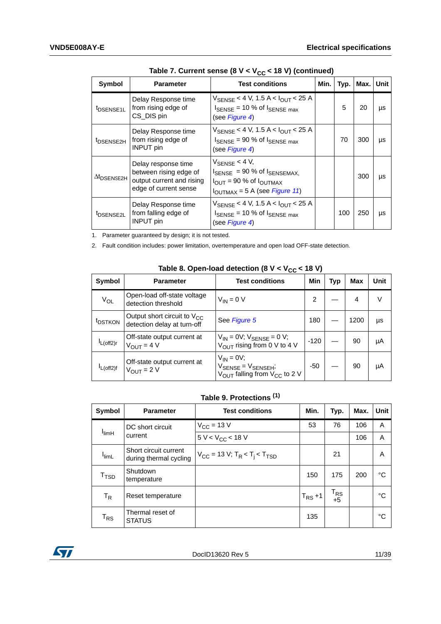| Symbol                         | <b>Parameter</b>                                                                                    | <b>Test conditions</b>                                                                                                                                                         | Min. | Typ. | Max. | Unit |
|--------------------------------|-----------------------------------------------------------------------------------------------------|--------------------------------------------------------------------------------------------------------------------------------------------------------------------------------|------|------|------|------|
| <sup>t</sup> DSENSE1L          | Delay Response time<br>from rising edge of<br>CS_DIS pin                                            | V <sub>SENSE</sub> < 4 V, 1.5 A < I <sub>OUT</sub> < 25 A<br>$I_{\text{SENSE}}$ = 10 % of $I_{\text{SENSE max}}$<br>(see Figure 4)                                             |      | 5    | 20   | μs   |
| <sup>t</sup> DSENSE2H          | Delay Response time<br>from rising edge of<br><b>INPUT</b> pin                                      | V <sub>SENSE</sub> < 4 V, 1.5 A < I <sub>OUT</sub> < 25 A<br>$I_{\text{SENSE}}$ = 90 % of $I_{\text{SENSE max}}$<br>(see Figure 4)                                             |      | 70   | 300  | μs   |
| $\Delta t$ <sub>DSENSE2H</sub> | Delay response time<br>between rising edge of<br>output current and rising<br>edge of current sense | $V_{\text{SENSE}}$ < 4 V,<br>$I_{\text{SENSE}}$ = 90 % of $I_{\text{SENSEMAX}}$<br>$I_{\text{OUT}}$ = 90 % of $I_{\text{OUTMAX}}$<br>$I_{\text{OUTMAX}} = 5$ A (see Figure 11) |      |      | 300  | μs   |
| <sup>t</sup> DSENSE2L          | Delay Response time<br>from falling edge of<br><b>INPUT</b> pin                                     | V <sub>SENSE</sub> < 4 V, 1.5 A < I <sub>OUT</sub> < 25 A<br>$I_{\text{SENSE}}$ = 10 % of $I_{\text{SENSE max}}$<br>(see Figure 4)                                             |      | 100  | 250  | μs   |

Table 7. Current sense ( $8 V < V_{CC} < 18 V$ ) (continued)

1. Parameter guaranteed by design; it is not tested.

2. Fault condition includes: power limitation, overtemperature and open load OFF-state detection.

<span id="page-10-0"></span>

| Symbol              | <b>Parameter</b>                                                | <b>Test conditions</b>                                                                                            | Min    | Typ | <b>Max</b> | Unit |
|---------------------|-----------------------------------------------------------------|-------------------------------------------------------------------------------------------------------------------|--------|-----|------------|------|
| $V_{OL}$            | Open-load off-state voltage<br>detection threshold              | $V_{IN} = 0 V$                                                                                                    | 2      |     | 4          |      |
| <sup>t</sup> DSTKON | Output short circuit to $V_{CC}$<br>detection delay at turn-off | See Figure 5                                                                                                      | 180    |     | 1200       | μs   |
| $L$ (off2)r         | Off-state output current at<br>$V_{\text{OUT}} = 4 V$           | $V_{IN}$ = 0V; $V_{SENSE}$ = 0 V;<br>$V_{\text{OUT}}$ rising from 0 V to 4 V                                      | $-120$ |     | 90         | μA   |
| $L$ (off2)f         | Off-state output current at<br>$V_{OUIT} = 2 V$                 | $V_{IN} = 0V$ ;<br>$V_{\text{SENSE}} = V_{\text{SENSEH}}$<br>$V_{\text{OUT}}$ falling from $V_{\text{CC}}$ to 2 V | -50    |     | 90         | μA   |

### Table 8. Open-load detection  $(8 V < V_{CC} < 18 V)$

### **Table 9. Protections (1)**

<span id="page-10-1"></span>

| Symbol                      | <b>Parameter</b>                                | <b>Test conditions</b>                                              | Min.        | Typ.           | Max. | <b>Unit</b> |
|-----------------------------|-------------------------------------------------|---------------------------------------------------------------------|-------------|----------------|------|-------------|
|                             | DC short circuit                                | $V_{\rm CC}$ = 13 V                                                 | 53          | 76             | 106  | A           |
| <sup>I</sup> limH           | current                                         | $5 V < V_{CC}$ < 18 V                                               |             |                | 106  | A           |
| <b>I</b> limL               | Short circuit current<br>during thermal cycling | $V_{CC}$ = 13 V; T <sub>R</sub> < T <sub>i</sub> < T <sub>TSD</sub> |             | 21             |      | A           |
| $\mathsf{T}_{\mathsf{TSD}}$ | Shutdown<br>temperature                         |                                                                     | 150         | 175            | 200  | °C          |
| $\mathsf{T}_{\mathsf{R}}$   | Reset temperature                               |                                                                     | $T_{RS}$ +1 | $T_{RS}$<br>+5 |      | °C          |
| $\mathsf{T}_{\mathsf{RS}}$  | Thermal reset of<br><b>STATUS</b>               |                                                                     | 135         |                |      | °C          |

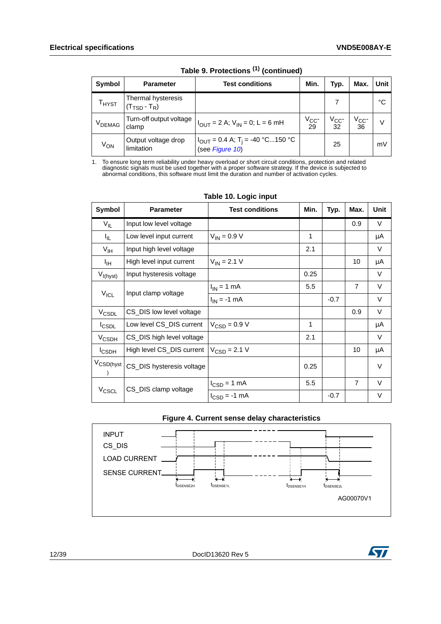| <b>Symbol</b>                                             | <b>Parameter</b>                                        | Test conditions                                                                                  | Min.           | Typ.             | Max.                 | Unit |
|-----------------------------------------------------------|---------------------------------------------------------|--------------------------------------------------------------------------------------------------|----------------|------------------|----------------------|------|
| $\mathsf{T}_{\mathsf{H} \mathsf{Y}\mathsf{S} \mathsf{T}}$ | Thermal hysteresis<br>$(T_{\text{TSD}} - T_{\text{R}})$ |                                                                                                  |                |                  |                      | °C   |
| V <sub>DEMAG</sub>                                        | Turn-off output voltage<br>clamp                        | $I_{\text{OUT}} = 2$ A; $V_{\text{IN}} = 0$ ; L = 6 mH                                           | $V_{CC}$<br>29 | $V_{CC}$ -<br>32 | $V_{\rm CC}$ -<br>36 | V    |
| V <sub>ON</sub>                                           | Output voltage drop<br>limitation                       | $I_{\text{OUT}} = 0.4 \text{ A}; T_{\text{i}} = -40 \text{ °C}150 \text{ °C}$<br>(see Figure 10) |                | 25               |                      | mV   |

**Table 9. Protections (1) (continued)**

1. To ensure long term reliability under heavy overload or short circuit conditions, protection and related diagnostic signals must be used together with a proper software strategy. If the device is subjected to abnormal conditions, this software must limit the duration and number of activation cycles.

<span id="page-11-0"></span>

| Symbol                | <b>Parameter</b>          | <b>Test conditions</b>          | Min. | Typ.   | Max.           | Unit |
|-----------------------|---------------------------|---------------------------------|------|--------|----------------|------|
| $V_{IL}$              | Input low level voltage   |                                 |      |        | 0.9            | V    |
| I <sub>IL</sub>       | Low level input current   | $V_{IN} = 0.9 V$                | 1    |        |                | μA   |
| $V_{\text{IH}}$       | Input high level voltage  |                                 | 2.1  |        |                | V    |
| ŀщ                    | High level input current  | $V_{IN} = 2.1 V$                |      |        | 10             | μA   |
| $V_{I(hyst)}$         | Input hysteresis voltage  |                                 | 0.25 |        |                | V    |
|                       | Input clamp voltage       | $I_{IN}$ = 1 mA                 | 5.5  |        | $\overline{7}$ | V    |
| $V_{ICL}$             |                           | $I_{IN} = -1$ mA                |      | $-0.7$ |                | V    |
| V <sub>CSDL</sub>     | CS_DIS low level voltage  |                                 |      |        | 0.9            | V    |
| <b>I</b> CSDL         | Low level CS_DIS current  | $V_{\text{CSD}} = 0.9 V$        | 1    |        |                | μA   |
| $V_{\text{CSDH}}$     | CS_DIS high level voltage |                                 | 2.1  |        |                | V    |
| <b>I</b> CSDH         | High level CS_DIS current | $V_{CSD} = 2.1 V$               |      |        | 10             | μA   |
| V <sub>CSD(hyst</sub> | CS_DIS hysteresis voltage |                                 | 0.25 |        |                | V    |
|                       | CS_DIS clamp voltage      | $I_{\text{CSD}} = 1 \text{ mA}$ | 5.5  |        | $\overline{7}$ | V    |
| V <sub>CSCL</sub>     |                           | $I_{CSD} = -1$ mA               |      | $-0.7$ |                | V    |

#### **Table 10. Logic input**



<span id="page-11-1"></span>

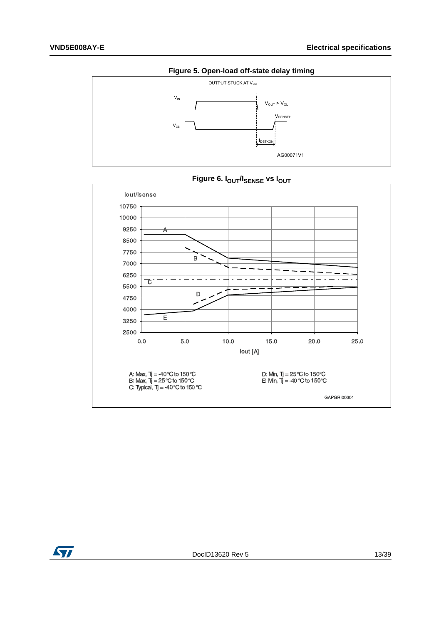<span id="page-12-0"></span>

<span id="page-12-1"></span>

Figure 6. I<sub>OUT</sub>/I<sub>SENSE</sub> vs I<sub>OUT</sub>

![](_page_12_Picture_5.jpeg)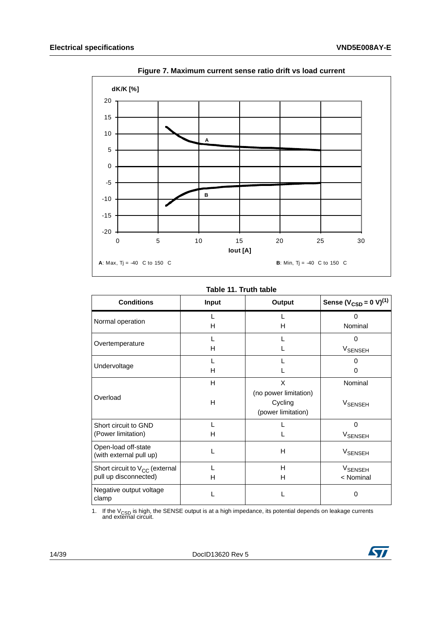<span id="page-13-1"></span>![](_page_13_Figure_2.jpeg)

**Figure 7. Maximum current sense ratio drift vs load current**

#### **Table 11. Truth table**

<span id="page-13-0"></span>

| <b>Conditions</b>                                            | <b>Input</b> | Output                                                      | Sense ( $V_{CSD} = 0 V$ ) <sup>(1)</sup> |
|--------------------------------------------------------------|--------------|-------------------------------------------------------------|------------------------------------------|
| Normal operation                                             | н            | н                                                           | $\Omega$<br>Nominal                      |
| Overtemperature                                              | н            |                                                             | $\Omega$<br><b>V<sub>SENSEH</sub></b>    |
| Undervoltage                                                 | н            |                                                             | U<br>0                                   |
| Overload                                                     | H<br>н       | X<br>(no power limitation)<br>Cycling<br>(power limitation) | Nominal<br><b>V<sub>SENSEH</sub></b>     |
| Short circuit to GND<br>(Power limitation)                   | н            |                                                             | $\Omega$<br><b>VSENSEH</b>               |
| Open-load off-state<br>(with external pull up)               |              | Н                                                           | VSENSEH                                  |
| Short circuit to $V_{CC}$ (external<br>pull up disconnected) | н            | H<br>н                                                      | <b>V<sub>SENSEH</sub></b><br>< Nominal   |
| Negative output voltage<br>clamp                             |              |                                                             | $\Omega$                                 |

1. If the V<sub>CSD</sub> is high, the SENSE output is at a high impedance, its potential depends on leakage currents and external circuit.

![](_page_13_Picture_8.jpeg)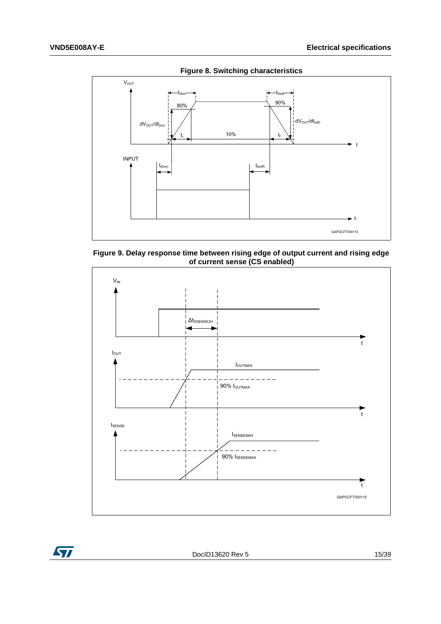<span id="page-14-0"></span>![](_page_14_Figure_2.jpeg)

<span id="page-14-1"></span>**Figure 9. Delay response time between rising edge of output current and rising edge of current sense (CS enabled)**

![](_page_14_Figure_4.jpeg)

![](_page_14_Picture_5.jpeg)

DocID13620 Rev 5 15/[39](#page-38-0)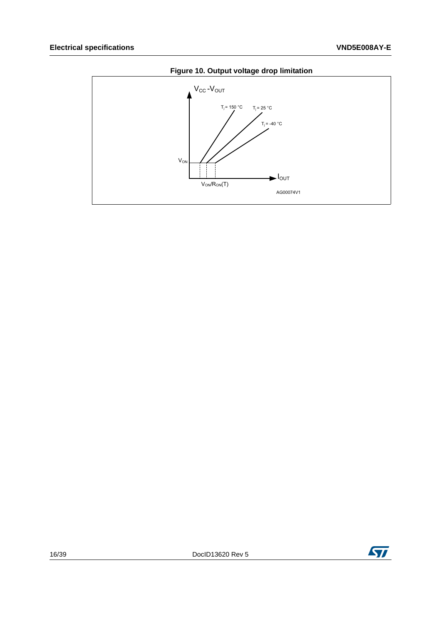<span id="page-15-0"></span>![](_page_15_Figure_2.jpeg)

### Figure 10. Output voltage drop limitation

![](_page_15_Picture_6.jpeg)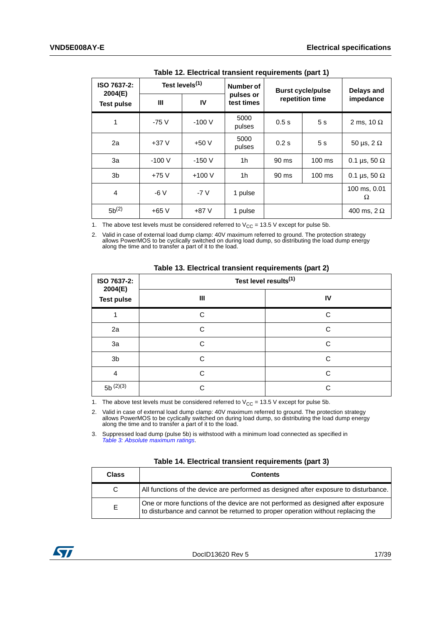<span id="page-16-0"></span>

| ISO 7637-2:<br>2004(E) | Test levels <sup>(1)</sup> |         | Number of               | <b>Burst cycle/pulse</b> | Delays and      |                     |
|------------------------|----------------------------|---------|-------------------------|--------------------------|-----------------|---------------------|
| <b>Test pulse</b>      | $\mathbf{III}$             | IV      | pulses or<br>test times |                          | repetition time | impedance           |
| 1                      | $-75V$                     | $-100V$ | 5000<br>pulses          | 0.5s                     | 5 <sub>s</sub>  | 2 ms, 10 $\Omega$   |
| 2a                     | $+37V$                     | $+50V$  | 5000<br>pulses          | 0.2 s                    | 5 <sub>s</sub>  | 50 µs, 2 $\Omega$   |
| За                     | $-100V$                    | $-150V$ | 1h                      | 90 ms                    | $100$ ms        | 0.1 µs, 50 $\Omega$ |
| 3b                     | $+75V$                     | $+100V$ | 1h                      | 90 ms                    | 100 ms          | 0.1 µs, 50 $\Omega$ |
| 4                      | $-6V$                      | $-7V$   | 1 pulse                 |                          |                 | 100 ms, 0.01<br>Ω   |
| $5b^{(2)}$             | $+65V$                     | $+87V$  | 1 pulse                 |                          |                 | 400 ms, $2 \Omega$  |

**Table 12. Electrical transient requirements (part 1)**

1. The above test levels must be considered referred to  $V_{CC} = 13.5$  V except for pulse 5b.

2. Valid in case of external load dump clamp: 40V maximum referred to ground. The protection strategy allows PowerMOS to be cyclically switched on during load dump, so distributing the load dump energy along the time and to transfer a part of it to the load.

<span id="page-16-1"></span>

|                        | _____<br>the community of the community of the community of the community of the community of the community of the community of the community of the community of the community of the community of the community of the community of t | $\overline{\phantom{a}}$ |  |  |  |  |
|------------------------|-----------------------------------------------------------------------------------------------------------------------------------------------------------------------------------------------------------------------------------------|--------------------------|--|--|--|--|
| ISO 7637-2:<br>2004(E) | Test level results <sup>(1)</sup>                                                                                                                                                                                                       |                          |  |  |  |  |
| <b>Test pulse</b>      | Ш                                                                                                                                                                                                                                       | IV                       |  |  |  |  |
|                        | C                                                                                                                                                                                                                                       | C                        |  |  |  |  |
| 2a                     | C                                                                                                                                                                                                                                       | C                        |  |  |  |  |
| 3a                     | C                                                                                                                                                                                                                                       | C                        |  |  |  |  |
| 3 <sub>b</sub>         | C                                                                                                                                                                                                                                       | C                        |  |  |  |  |
| $\overline{4}$         | C                                                                                                                                                                                                                                       | C                        |  |  |  |  |
| $5b^{(2)(3)}$          | C.                                                                                                                                                                                                                                      | C                        |  |  |  |  |

**Table 13. Electrical transient requirements (part 2)**

1. The above test levels must be considered referred to  $V_{CC}$  = 13.5 V except for pulse 5b.

2. Valid in case of external load dump clamp: 40V maximum referred to ground. The protection strategy allows PowerMOS to be cyclically switched on during load dump, so distributing the load dump energy along the time and to transfer a part of it to the load.

3. Suppressed load dump (pulse 5b) is withstood with a minimum load connected as specified in *[Table 3: Absolute maximum ratings](#page-6-2)*.

<span id="page-16-2"></span>

| <b>Class</b> | <b>Contents</b>                                                                                                                                                     |
|--------------|---------------------------------------------------------------------------------------------------------------------------------------------------------------------|
| C.           | All functions of the device are performed as designed after exposure to disturbance.                                                                                |
| F.           | One or more functions of the device are not performed as designed after exposure<br>to disturbance and cannot be returned to proper operation without replacing the |

![](_page_16_Picture_13.jpeg)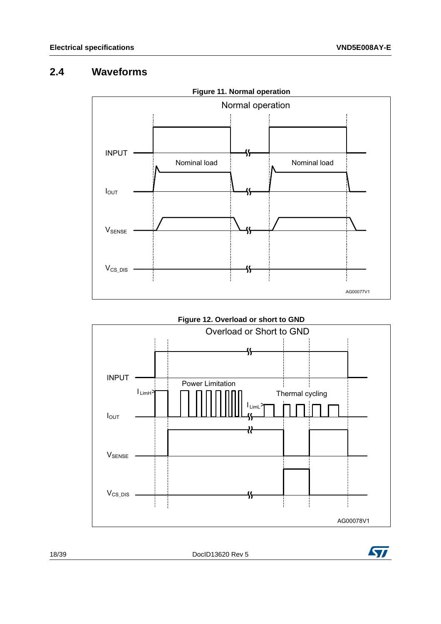# <span id="page-17-0"></span>**2.4 Waveforms**

<span id="page-17-1"></span>![](_page_17_Figure_3.jpeg)

<span id="page-17-2"></span>![](_page_17_Figure_4.jpeg)

18/[39](#page-38-0) DocID13620 Rev 5

![](_page_17_Picture_6.jpeg)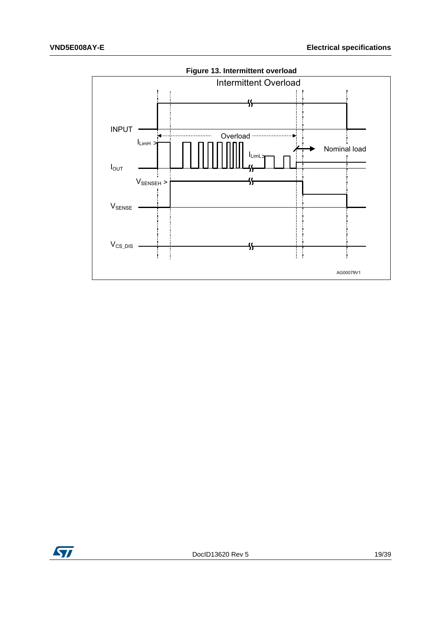<span id="page-18-0"></span>![](_page_18_Figure_2.jpeg)

![](_page_18_Picture_3.jpeg)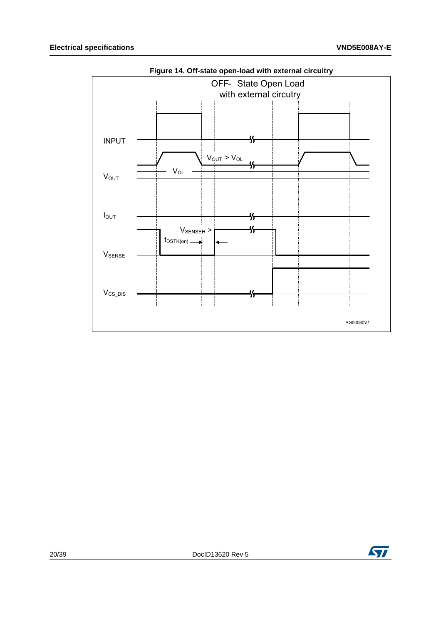<span id="page-19-0"></span>![](_page_19_Figure_2.jpeg)

![](_page_19_Picture_6.jpeg)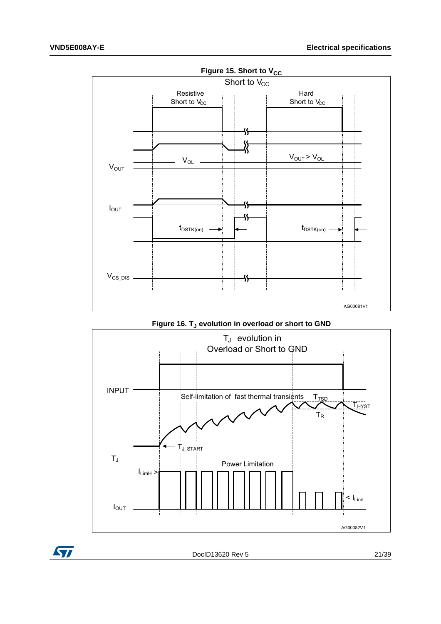<span id="page-20-0"></span>![](_page_20_Figure_2.jpeg)

Figure 16. T<sub>J</sub> evolution in overload or short to GND

<span id="page-20-1"></span>![](_page_20_Figure_4.jpeg)

![](_page_20_Picture_5.jpeg)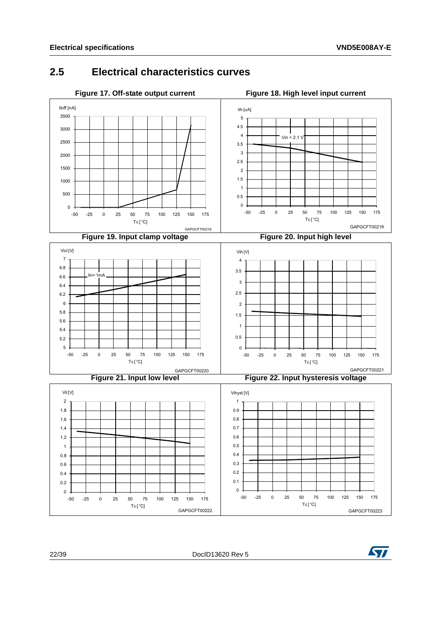## <span id="page-21-2"></span><span id="page-21-0"></span>**2.5 Electrical characteristics curves**

<span id="page-21-5"></span><span id="page-21-4"></span><span id="page-21-3"></span><span id="page-21-1"></span>![](_page_21_Figure_3.jpeg)

<span id="page-21-6"></span>![](_page_21_Picture_4.jpeg)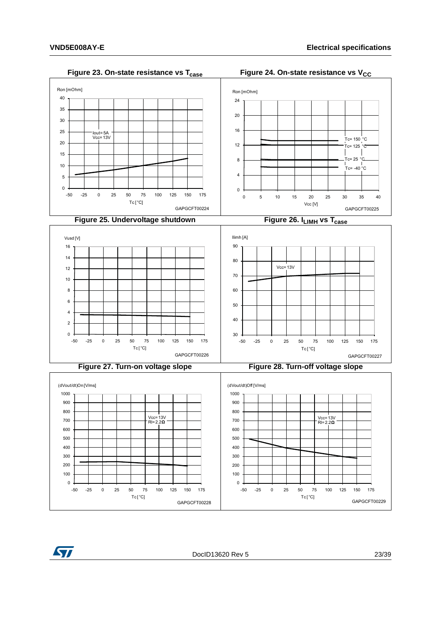<span id="page-22-3"></span><span id="page-22-2"></span><span id="page-22-1"></span><span id="page-22-0"></span>![](_page_22_Figure_2.jpeg)

<span id="page-22-4"></span>ST

<span id="page-22-5"></span>DocID13620 Rev 5 23/[39](#page-38-0)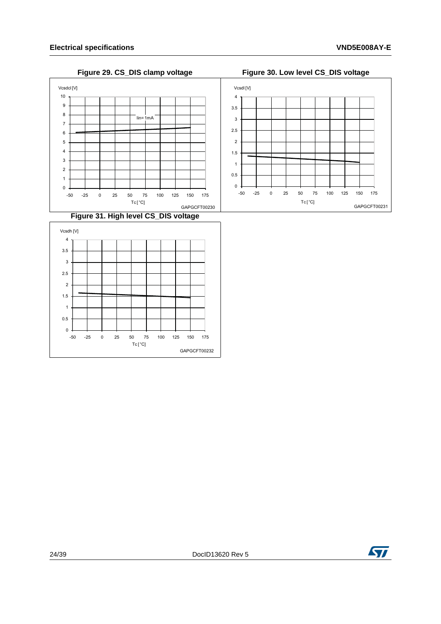$\mathbf{0}$  $\overline{1}$  $\overline{c}$  $\overline{3}$  $\overline{4}$  $\overline{5}$  $\,$  6  $\,$  $\overline{7}$  $\,$  8  $\,$  $\overline{9}$  $10\,$ 

Vcsdcl[V]

#### **Figure 29. CS\_DIS clamp voltage Figure 30. Low level CS\_DIS voltage**

<span id="page-23-1"></span> $lin = 1mA$ 

<span id="page-23-0"></span>![](_page_23_Figure_3.jpeg)

<span id="page-23-2"></span>![](_page_23_Figure_4.jpeg)

 $Tc[^{\circ}C]$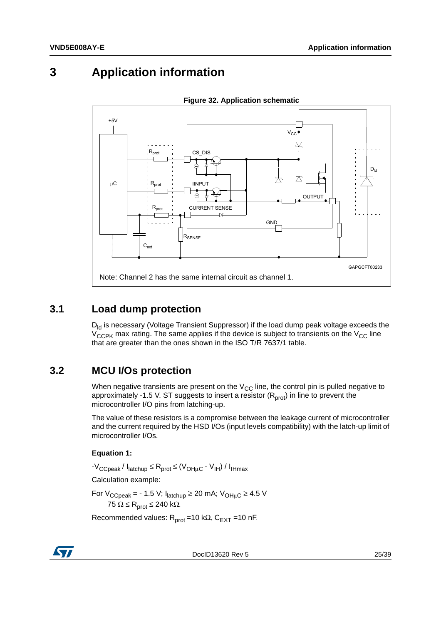# <span id="page-24-0"></span>**3 Application information**

<span id="page-24-3"></span>![](_page_24_Figure_3.jpeg)

**Figure 32. Application schematic**

### <span id="page-24-1"></span>**3.1 Load dump protection**

 $D_{\text{Id}}$  is necessary (Voltage Transient Suppressor) if the load dump peak voltage exceeds the  $V_{CCPK}$  max rating. The same applies if the device is subject to transients on the  $V_{CC}$  line that are greater than the ones shown in the ISO T/R 7637/1 table.

### <span id="page-24-2"></span>**3.2 MCU I/Os protection**

When negative transients are present on the  $V_{CC}$  line, the control pin is pulled negative to approximately -1.5 V. ST suggests to insert a resistor ( $R<sub>prot</sub>$ ) in line to prevent the microcontroller I/O pins from latching-up.

The value of these resistors is a compromise between the leakage current of microcontroller and the current required by the HSD I/Os (input levels compatibility) with the latch-up limit of microcontroller I/Os.

### **Equation 1:**

 $-V_{\text{CCpeak}}/I_{\text{latchup}} \leq R_{\text{prot}} \leq (V_{\text{OHuC}} - V_{\text{IH}})/I_{\text{IHmax}}$ 

Calculation example:

For  $V_{\text{CCpeak}}$  = - 1.5 V;  $I_{\text{latchup}} \ge 20$  mA;  $V_{\text{OHµC}} \ge 4.5$  V  $75$  Ω ≤ R<sub>prot</sub> ≤ 240 kΩ.

Recommended values:  $R_{prot} = 10 k\Omega$ ,  $C_{EXT} = 10 nF$ .

![](_page_24_Picture_15.jpeg)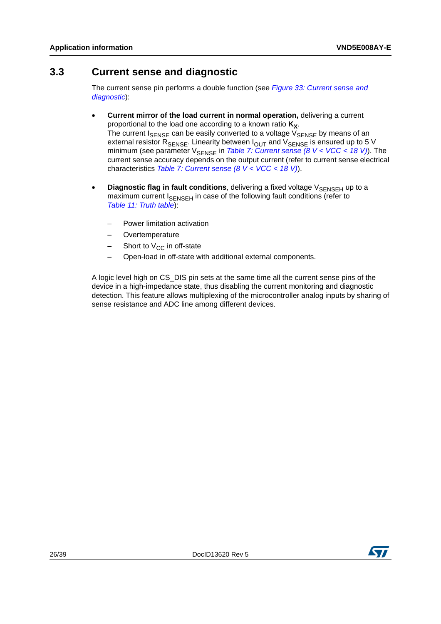### <span id="page-25-0"></span>**3.3 Current sense and diagnostic**

The current sense pin performs a double function (see *[Figure 33: Current sense and](#page-26-1)  [diagnostic](#page-26-1)*):

- **Current mirror of the load current in normal operation,** delivering a current proportional to the load one according to a known ratio  $K_X$ . The current  $I_{\text{SENSE}}$  can be easily converted to a voltage  $V_{\text{SENSE}}$  by means of an external resistor  $R_{\text{SENSE}}$ . Linearity between  $I_{\text{OUT}}$  and  $V_{\text{SENSE}}$  is ensured up to 5 V minimum (see parameter V<sub>SENSE</sub> in *[Table 7: Current sense \(8 V < VCC < 18 V\)](#page-9-0)*). The current sense accuracy depends on the output current (refer to current sense electrical characteristics *[Table 7: Current sense \(8 V < VCC < 18 V\)](#page-9-0)*).
- **Diagnostic flag in fault conditions**, delivering a fixed voltage V<sub>SENSEH</sub> up to a maximum current I<sub>SENSEH</sub> in case of the following fault conditions (refer to *[Table 11: Truth table](#page-13-0)*):
	- Power limitation activation
	- **Overtemperature**
	- Short to  $V_{CC}$  in off-state
	- Open-load in off-state with additional external components.

A logic level high on CS\_DIS pin sets at the same time all the current sense pins of the device in a high-impedance state, thus disabling the current monitoring and diagnostic detection. This feature allows multiplexing of the microcontroller analog inputs by sharing of sense resistance and ADC line among different devices.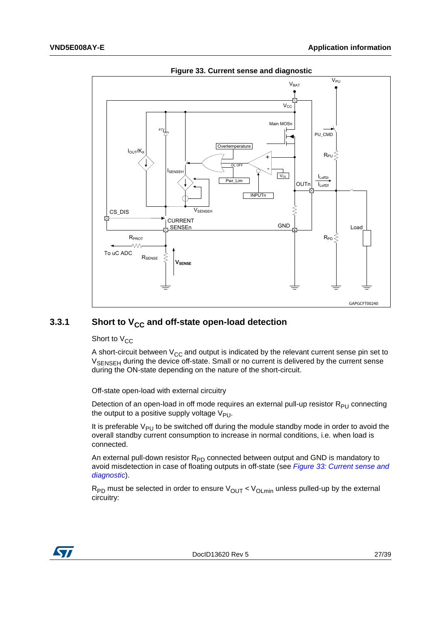<span id="page-26-1"></span>![](_page_26_Figure_2.jpeg)

**Figure 33. Current sense and diagnostic**

### <span id="page-26-0"></span>**3.3.1** Short to V<sub>CC</sub> and off-state open-load detection

Short to  $V_{CC}$ 

A short-circuit between  $V_{CC}$  and output is indicated by the relevant current sense pin set to  $V_{\text{SENSFH}}$  during the device off-state. Small or no current is delivered by the current sense during the ON-state depending on the nature of the short-circuit.

Off-state open-load with external circuitry

Detection of an open-load in off mode requires an external pull-up resistor  $R_{PI}$  connecting the output to a positive supply voltage  $V_{PI}$ .

It is preferable  $V_{PI}$  to be switched off during the module standby mode in order to avoid the overall standby current consumption to increase in normal conditions, i.e. when load is connected.

An external pull-down resistor  $R_{PD}$  connected between output and GND is mandatory to avoid misdetection in case of floating outputs in off-state (see *[Figure 33: Current sense and](#page-26-1)  [diagnostic](#page-26-1)*).

 $R_{PD}$  must be selected in order to ensure  $V_{OUT}$  <  $V_{OLmin}$  unless pulled-up by the external circuitry:

![](_page_26_Picture_12.jpeg)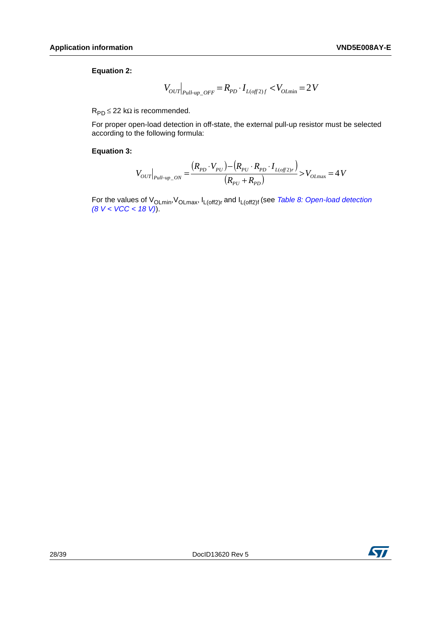#### **Equation 2:**

$$
V_{\text{OUT}}\big|_{\text{Paul-up}\_\text{OFF}}=R_{\text{PD}}\cdot I_{L(\text{off 2})f}
$$

 $R_{PD} \leq 22$  kΩ is recommended.

For proper open-load detection in off-state, the external pull-up resistor must be selected according to the following formula:

#### **Equation 3:**

$$
V_{OUT}|_{Pull-up\_ON} = \frac{(R_{PD} \cdot V_{PU}) - (R_{PU} \cdot R_{PD} \cdot I_{L(off2)r})}{(R_{PU} + R_{PD})} > V_{OLmax} = 4 V
$$

For the values of VOLmin,VOLmax, IL(off2)r and IL(off2)f (see *[Table 8: Open-load detection](#page-10-0)  [\(8 V < VCC < 18 V\)](#page-10-0)*).

![](_page_27_Picture_11.jpeg)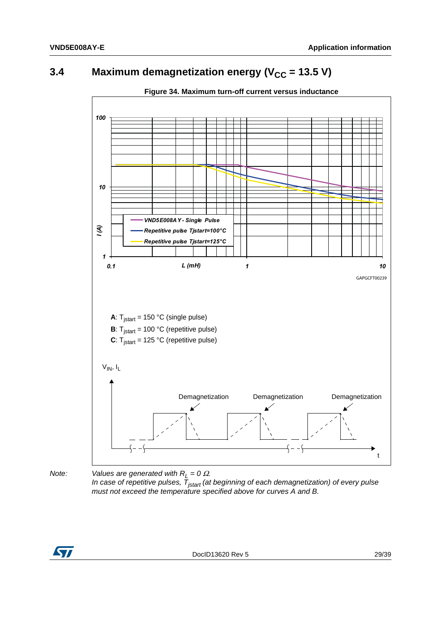#### <span id="page-28-0"></span>Maximum demagnetization energy ( $V_{CC}$  = 13.5 V)  $3.4$

<span id="page-28-1"></span>![](_page_28_Figure_3.jpeg)

Figure 34. Maximum turn-off current versus inductance

Note:

Values are generated with  $R_L = 0 \Omega$ . In case of repetitive pulses,  $\bar{T}_{\text{start}}$  (at beginning of each demagnetization) of every pulse must not exceed the temperature specified above for curves A and B.

![](_page_28_Picture_7.jpeg)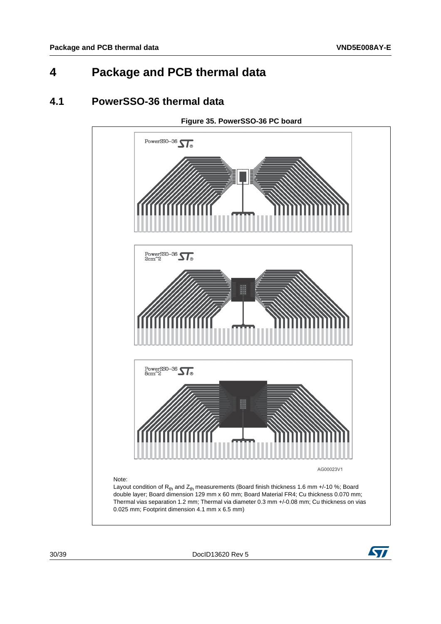# <span id="page-29-0"></span>**4 Package and PCB thermal data**

### <span id="page-29-1"></span>**4.1 PowerSSO-36 thermal data**

<span id="page-29-2"></span>![](_page_29_Figure_4.jpeg)

30/[39](#page-38-0) DocID13620 Rev 5

![](_page_29_Picture_6.jpeg)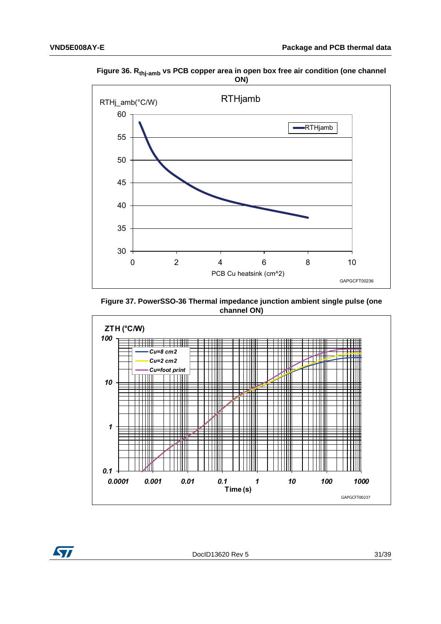![](_page_30_Figure_2.jpeg)

<span id="page-30-0"></span>Figure 36. R<sub>thj-amb</sub> vs PCB copper area in open box free air condition (one channel ON)

<span id="page-30-1"></span>Figure 37. PowerSSO-36 Thermal impedance junction ambient single pulse (one channel ON)

![](_page_30_Figure_5.jpeg)

![](_page_30_Picture_6.jpeg)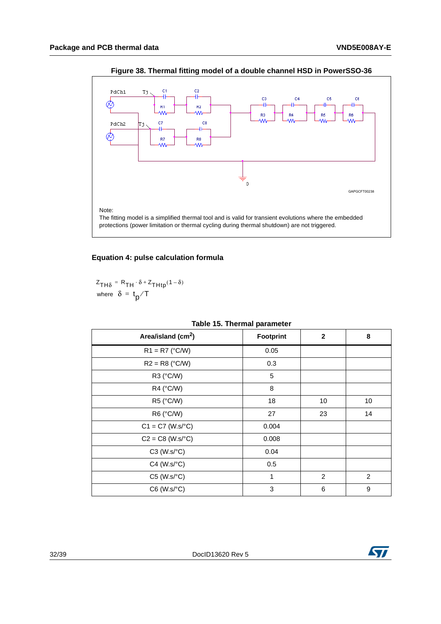<span id="page-31-1"></span>![](_page_31_Figure_2.jpeg)

**Figure 38. Thermal fitting model of a double channel HSD in PowerSSO-36**

#### **Equation 4: pulse calculation formula**

 $Z_{TH\delta} = R_{TH} \cdot \delta + Z_{THtp} (1 - \delta)$ where  $\delta = \text{t}_{\text{p}} / \text{T}$ 

<span id="page-31-0"></span>

| Area/island (cm <sup>2</sup> ) | <b>Footprint</b> | $\mathbf{2}$ | 8  |
|--------------------------------|------------------|--------------|----|
| $R1 = R7$ (°C/W)               | 0.05             |              |    |
| $R2 = R8$ (°C/W)               | 0.3              |              |    |
| R3 (°C/W)                      | 5                |              |    |
| R4 (°C/W)                      | 8                |              |    |
| R5 (°C/W)                      | 18               | 10           | 10 |
| R6 (°C/W)                      | 27               | 23           | 14 |
| $C1 = C7$ (W.s/°C)             | 0.004            |              |    |
| $C2 = C8$ (W.s/ $^{\circ}C$ )  | 0.008            |              |    |
| $C3$ (W.s/ $\textdegree C$ )   | 0.04             |              |    |
| $C4$ (W.s/ $°C$ )              | 0.5              |              |    |
| $C5$ (W.s/ $\textdegree C$ )   | 1                | 2            | 2  |
| $C6$ (W.s/ $°C$ )              | 3                | 6            | 9  |

#### **Table 15. Thermal parameter**

![](_page_31_Picture_9.jpeg)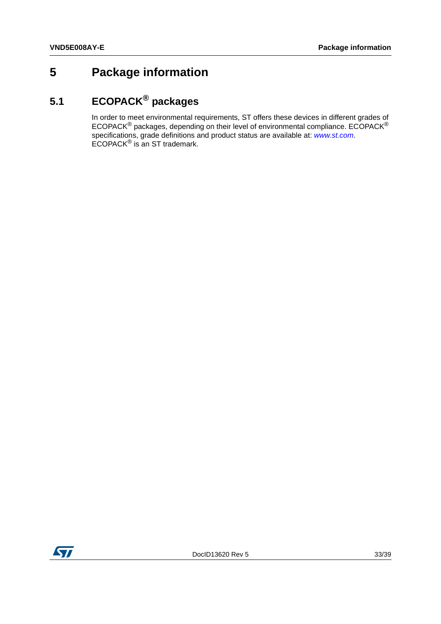# <span id="page-32-0"></span>**5 Package information**

# <span id="page-32-1"></span>**5.1 ECOPACK® packages**

In order to meet environmental requirements, ST offers these devices in different grades of ECOPACK® packages, depending on their level of environmental compliance. ECOPACK® specifications, grade definitions and product status are available at: *[www.st.com](http://www.st.com)*. ECOPACK® is an ST trademark.

![](_page_32_Picture_5.jpeg)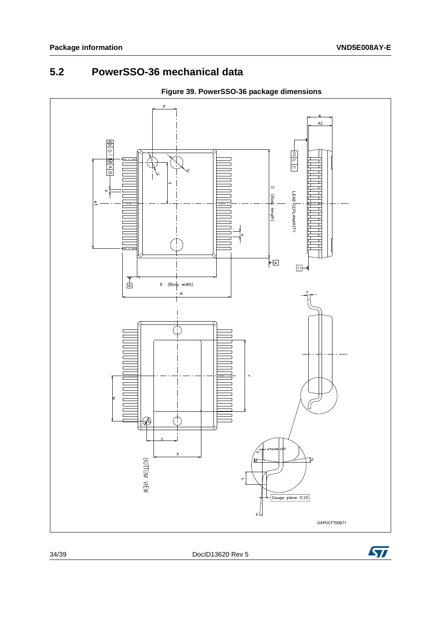#### <span id="page-33-0"></span> $5.2$ PowerSSO-36 mechanical data

<span id="page-33-1"></span>![](_page_33_Figure_3.jpeg)

Figure 39. PowerSSO-36 package dimensions

DoclD13620 Rev 5

![](_page_33_Picture_7.jpeg)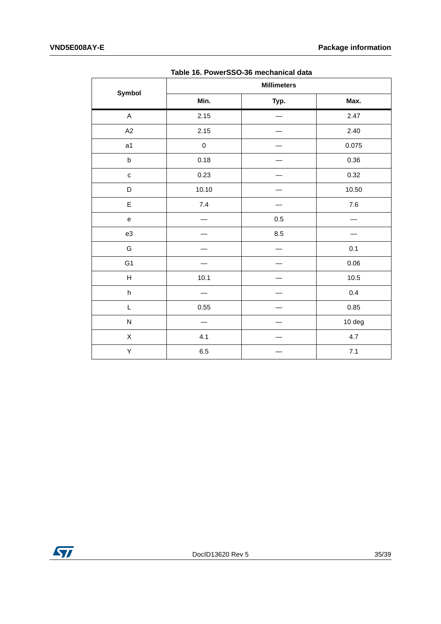<span id="page-34-0"></span>

| Symbol                                     |           | <b>Millimeters</b> |         |  |  |  |
|--------------------------------------------|-----------|--------------------|---------|--|--|--|
|                                            | Min.      | Typ.               | Max.    |  |  |  |
| $\mathsf A$                                | 2.15      |                    | 2.47    |  |  |  |
| A2                                         | 2.15      |                    | 2.40    |  |  |  |
| a1                                         | $\pmb{0}$ |                    | 0.075   |  |  |  |
| $\sf b$                                    | 0.18      |                    | 0.36    |  |  |  |
| $\mathbf{C}$                               | 0.23      |                    | 0.32    |  |  |  |
| D                                          | 10.10     |                    | 10.50   |  |  |  |
| $\mathsf E$                                | $7.4$     |                    | $7.6\,$ |  |  |  |
| $\mathsf{e}% _{0}\left( \mathsf{e}\right)$ |           | $0.5\,$            |         |  |  |  |
| e3                                         |           | 8.5                |         |  |  |  |
| G                                          |           |                    | 0.1     |  |  |  |
| G1                                         |           |                    | 0.06    |  |  |  |
| $\boldsymbol{\mathsf{H}}$                  | 10.1      |                    | $10.5$  |  |  |  |
| $\sf h$                                    |           |                    | $0.4\,$ |  |  |  |
| L                                          | 0.55      |                    | 0.85    |  |  |  |
| ${\sf N}$                                  |           |                    | 10 deg  |  |  |  |
| $\mathsf X$                                | 4.1       |                    | 4.7     |  |  |  |
| Υ                                          | $6.5\,$   |                    | $7.1$   |  |  |  |
|                                            |           |                    |         |  |  |  |

Table 16. PowerSSO-36 mechanical data

![](_page_34_Picture_4.jpeg)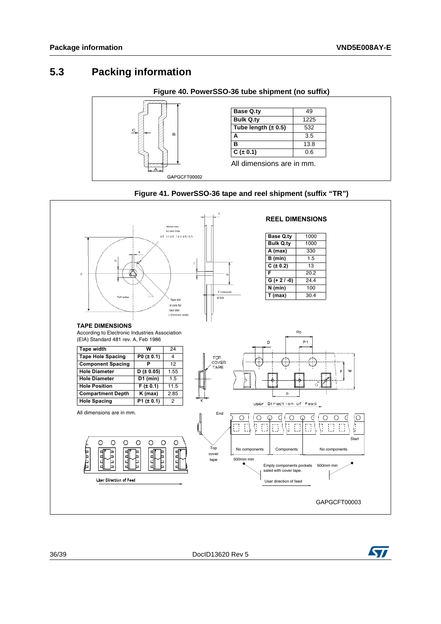## <span id="page-35-0"></span>**5.3 Packing information**

<span id="page-35-1"></span>![](_page_35_Figure_3.jpeg)

<span id="page-35-2"></span>![](_page_35_Figure_4.jpeg)

![](_page_35_Figure_5.jpeg)

![](_page_35_Picture_7.jpeg)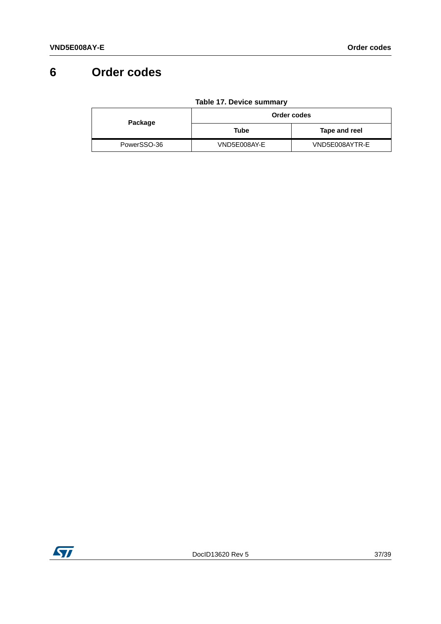# <span id="page-36-0"></span>**6 Order codes**

<span id="page-36-1"></span>

| Package     | Order codes  |                |  |
|-------------|--------------|----------------|--|
|             | Tube         | Tape and reel  |  |
| PowerSSO-36 | VND5E008AY-E | VND5E008AYTR-E |  |

**Table 17. Device summary**

![](_page_36_Picture_5.jpeg)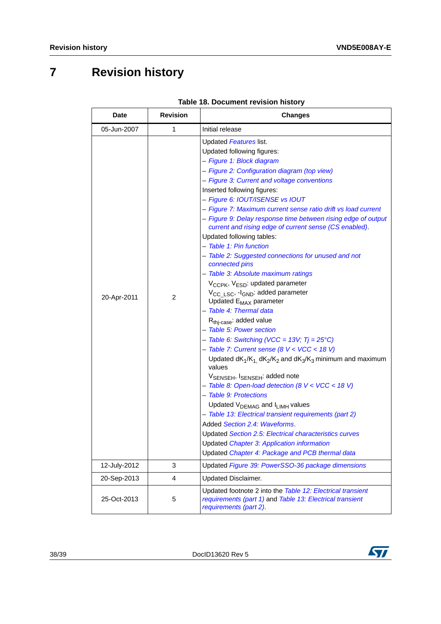# <span id="page-37-0"></span>**7 Revision history**

<span id="page-37-1"></span>

| Date         | <b>Revision</b> | <b>Changes</b>                                                                                                                                                                                                                                                                                                                                                                                                                                                                                                                                                                                                                                                                                                                                                                                                                                                                                                                                                                                                                                                                                                                                                                                                                                                                                                                                                                                                                                                                                                                        |
|--------------|-----------------|---------------------------------------------------------------------------------------------------------------------------------------------------------------------------------------------------------------------------------------------------------------------------------------------------------------------------------------------------------------------------------------------------------------------------------------------------------------------------------------------------------------------------------------------------------------------------------------------------------------------------------------------------------------------------------------------------------------------------------------------------------------------------------------------------------------------------------------------------------------------------------------------------------------------------------------------------------------------------------------------------------------------------------------------------------------------------------------------------------------------------------------------------------------------------------------------------------------------------------------------------------------------------------------------------------------------------------------------------------------------------------------------------------------------------------------------------------------------------------------------------------------------------------------|
| 05-Jun-2007  | 1               | Initial release                                                                                                                                                                                                                                                                                                                                                                                                                                                                                                                                                                                                                                                                                                                                                                                                                                                                                                                                                                                                                                                                                                                                                                                                                                                                                                                                                                                                                                                                                                                       |
| 20-Apr-2011  | 2               | Updated Features list.<br>Updated following figures:<br>- Figure 1: Block diagram<br>- Figure 2: Configuration diagram (top view)<br>- Figure 3: Current and voltage conventions<br>Inserted following figures:<br>- Figure 6: IOUT/ISENSE vs IOUT<br>- Figure 7: Maximum current sense ratio drift vs load current<br>- Figure 9: Delay response time between rising edge of output<br>current and rising edge of current sense (CS enabled).<br>Updated following tables:<br>- Table 1: Pin function<br>- Table 2: Suggested connections for unused and not<br>connected pins<br>- Table 3: Absolute maximum ratings<br>V <sub>CCPK</sub> , V <sub>ESD</sub> : updated parameter<br>V <sub>CC LSC</sub> , -I <sub>GND</sub> : added parameter<br>Updated E <sub>MAX</sub> parameter<br>- Table 4: Thermal data<br>R <sub>thj-case</sub> : added value<br>- Table 5: Power section<br>- Table 6: Switching (VCC = 13V; $Tj = 25^{\circ}C$ )<br>- Table 7: Current sense (8 V < VCC < 18 V)<br>Updated $dK_1/K_1$ , $dK_2/K_2$ and $dK_3/K_3$ minimum and maximum<br>values<br>V <sub>SENSEH</sub> , I <sub>SENSEH</sub> : added note<br>- Table 8: Open-load detection (8 V < VCC < 18 V)<br>- Table 9: Protections<br>Updated V <sub>DEMAG</sub> and I <sub>LIMH</sub> values<br>- Table 13: Electrical transient requirements (part 2)<br>Added Section 2.4: Waveforms.<br>Updated Section 2.5: Electrical characteristics curves<br>Updated Chapter 3: Application information<br>Updated Chapter 4: Package and PCB thermal data |
| 12-July-2012 | 3               | Updated Figure 39: PowerSSO-36 package dimensions                                                                                                                                                                                                                                                                                                                                                                                                                                                                                                                                                                                                                                                                                                                                                                                                                                                                                                                                                                                                                                                                                                                                                                                                                                                                                                                                                                                                                                                                                     |
| 20-Sep-2013  | 4               | <b>Updated Disclaimer.</b>                                                                                                                                                                                                                                                                                                                                                                                                                                                                                                                                                                                                                                                                                                                                                                                                                                                                                                                                                                                                                                                                                                                                                                                                                                                                                                                                                                                                                                                                                                            |
| 25-Oct-2013  | 5               | Updated footnote 2 into the Table 12: Electrical transient<br>requirements (part 1) and Table 13: Electrical transient<br>requirements (part 2).                                                                                                                                                                                                                                                                                                                                                                                                                                                                                                                                                                                                                                                                                                                                                                                                                                                                                                                                                                                                                                                                                                                                                                                                                                                                                                                                                                                      |

#### **Table 18. Document revision history**

![](_page_37_Picture_6.jpeg)